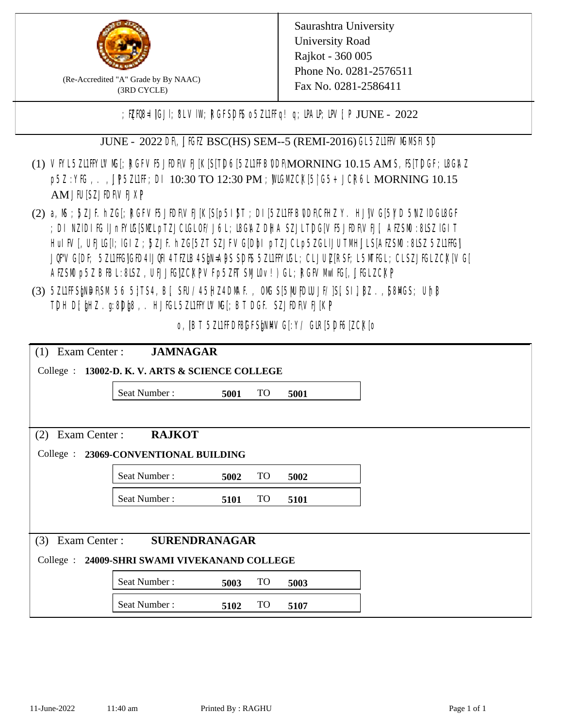

(Re-Accredited "A" Grade by By NAAC) (3RD CYCLE)

Saurashtra University University Road Rajkot - 360 005 Phone No. 0281-2576511 Fax No. 0281-2586411

; PERB= IGJI; 8L VIW; RGFSDIS o 5ZL1 Fig! q; DAIP; DV[; P JUNE - 2022

JUNE - 2022 DR, JIGIZ BSC(HS) SEM--5 (REMI-2016) GL5Z1IFVMMSH SD

- (1) VFYL5Z11FFYLVMC[; RGFVF5JEDF\VEJ[K[S[T]D6[5Z11FFB0DF\MORNING 10.15 AM S, IS[T]DGF; I8G\AZ p5Z : YIG, . , JP5ZILIF; DI 10:30 TO 12:30 PM ; WGM CX[5] G5+ JCR6L MORNING 10.15 AM JIUSZJIDRVEJXP
- (2) a, M ; BZJE hZG[; RGFVE5JIDF\VEJ[K[S[p5I]\$T ; DI[5ZI1IFB\DDF\CHIZ Y. HJ]\VG[5|YD 5\VZ lDGI8GF ; DI NZIDI K; IJnFYIG[SMLpTZJCIGLOF/J6L; I8GAZ DHA SZJLTDG[VF5JEDF\VEJ[, AEZSM0 :8LSZ IGIT HuIFV[, UEJG[]; IGIZ ; 5ZJF. hZG[5ZT SZJFVG[DbI pTZJCLp5ZGLIJUTMHJLS[AEZSM0 :8LSZ 5Z11HG] JQFVG[DF; 5Z11HG]GED4 LJQHI4 TEZIB4 SEN= APS SDFS 5Z11 HYNGL; CL JUL [RSF; L 5MTGL; CL SZJFGL ZCK[ VG[ AESM p5Z BBL:8LSZ, UEJJG|ZCKPVFp5ZFT SMIOv!) GL; RGFVM EG[, JJGLZCKP
- (3) 5ZUFFS&NDF\SM.56 5}TS4, B[, SFU/45HZ4D\MAF., OMS[5|NU|PDIUJF/]S[ SI], [8Z.,[S8]ACS; Uh[8 TDH D[ $jHZ$ .g:8D $jg$ ,. HJ $KL$ 5ZL1FFYLVMS[;BT DGF. SZJEDFIVEJ[KP]

o, IBT 5Z11FDBGFSMM/G[:Y/ GIR[5DF6[ZCK]0

| $(1)$ Exam Center :                             | <b>JAMNAGAR</b> |      |           |      |  |  |  |
|-------------------------------------------------|-----------------|------|-----------|------|--|--|--|
| College : 13002-D. K. V. ARTS & SCIENCE COLLEGE |                 |      |           |      |  |  |  |
|                                                 | Seat Number:    | 5001 | <b>TO</b> | 5001 |  |  |  |
|                                                 |                 |      |           |      |  |  |  |
| Exam Center:<br><b>RAJKOT</b><br>(2)            |                 |      |           |      |  |  |  |
| College : 23069-CONVENTIONAL BUILDING           |                 |      |           |      |  |  |  |
|                                                 | Seat Number:    | 5002 | TO        | 5002 |  |  |  |
|                                                 | Seat Number:    | 5101 | <b>TO</b> | 5101 |  |  |  |
|                                                 |                 |      |           |      |  |  |  |
| <b>SURENDRANAGAR</b><br>Exam Center:<br>(3)     |                 |      |           |      |  |  |  |
| College : 24009-SHRI SWAMI VIVEKANAND COLLEGE   |                 |      |           |      |  |  |  |
|                                                 | Seat Number:    | 5003 | <b>TO</b> | 5003 |  |  |  |
|                                                 | Seat Number:    | 5102 | <b>TO</b> | 5107 |  |  |  |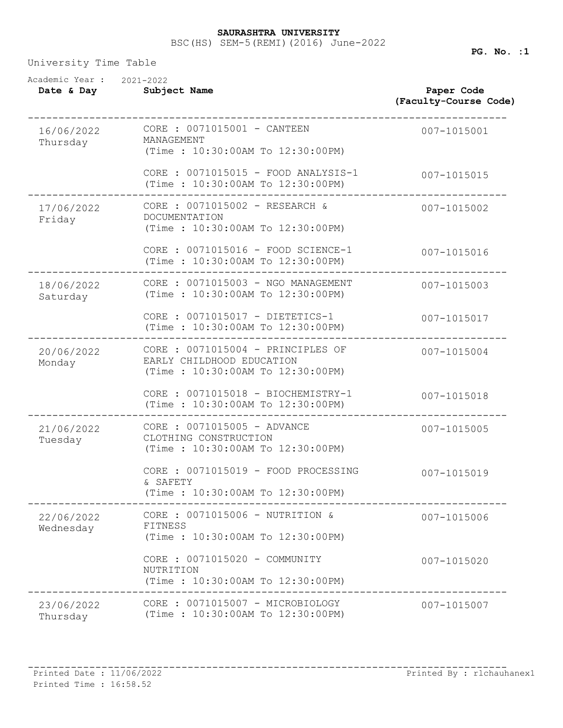## BSC(HS) SEM-5(REMI)(2016) June-2022 **SAURASHTRA UNIVERSITY**

University Time Table

| Academic Year :<br>Date & Day | 2021-2022<br>Subject Name                                                                          | Paper Code<br>(Faculty-Course Code) |
|-------------------------------|----------------------------------------------------------------------------------------------------|-------------------------------------|
| 16/06/2022<br>Thursday        | CORE : 0071015001 - CANTEEN<br>MANAGEMENT<br>(Time: 10:30:00AM To 12:30:00PM)                      | 007-1015001                         |
|                               | CORE : 0071015015 - FOOD ANALYSIS-1<br>(Time: 10:30:00AM To 12:30:00PM)                            | 007-1015015                         |
| 17/06/2022<br>Friday          | CORE : 0071015002 - RESEARCH &<br><b>DOCUMENTATION</b><br>(Time: 10:30:00AM To 12:30:00PM)         | 007-1015002                         |
|                               | CORE : 0071015016 - FOOD SCIENCE-1<br>(Time: 10:30:00AM To 12:30:00PM)                             | 007-1015016                         |
| 18/06/2022<br>Saturday        | CORE : 0071015003 - NGO MANAGEMENT<br>(Time: 10:30:00AM To 12:30:00PM)                             | 007-1015003                         |
|                               | CORE : 0071015017 - DIETETICS-1<br>(Time: 10:30:00AM To 12:30:00PM)                                | 007-1015017                         |
| 20/06/2022<br>Monday          | CORE : 0071015004 - PRINCIPLES OF<br>EARLY CHILDHOOD EDUCATION<br>(Time: 10:30:00AM To 12:30:00PM) | 007-1015004                         |
|                               | CORE : 0071015018 - BIOCHEMISTRY-1<br>(Time: 10:30:00AM To 12:30:00PM)                             | 007-1015018                         |
| 21/06/2022<br>Tuesday         | CORE : 0071015005 - ADVANCE<br>CLOTHING CONSTRUCTION<br>(Time: 10:30:00AM To 12:30:00PM)           | 007-1015005                         |
|                               | CORE : 0071015019 - FOOD PROCESSING<br>& SAFETY<br>(Time : 10:30:00AM To 12:30:00PM)               | 007-1015019                         |
| 22/06/2022<br>Wednesday       | CORE : 0071015006 - NUTRITION &<br>FITNESS<br>(Time: 10:30:00AM To 12:30:00PM)                     | 007-1015006                         |
|                               | CORE : 0071015020 - COMMUNITY<br>NUTRITION<br>(Time: 10:30:00AM To 12:30:00PM)                     | 007-1015020                         |
| 23/06/2022<br>Thursday        | CORE : 0071015007 - MICROBIOLOGY<br>(Time: 10:30:00AM To 12:30:00PM)                               | 007-1015007                         |

**PG. No. :1**